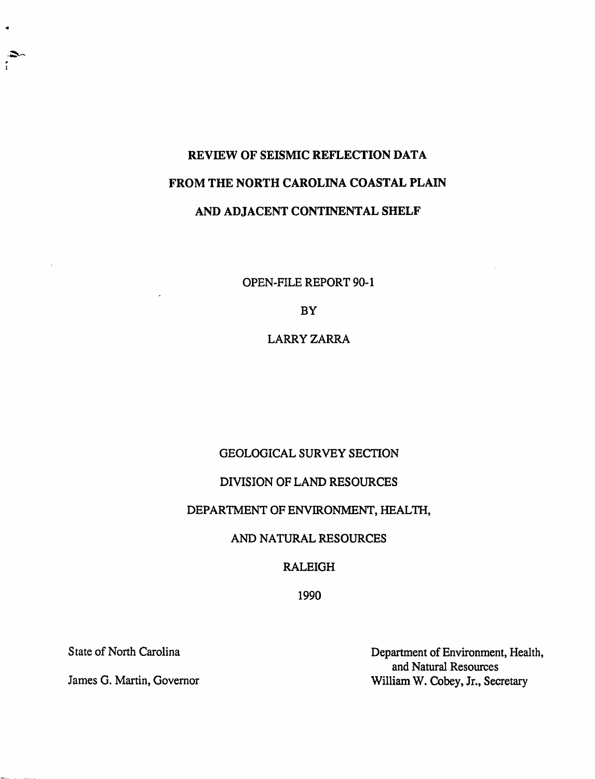# REVIEW OF SEISMIC REFLECTION DATA FROM THE NORTH CAROLINA COASTAL PLAIN AND ADJACENT CONTINENTAL SHELF

OPEN-FILE REPORT 90-1

BY

LARRYZARRA

## GEOLOGICAL SURVEY SECTION

## DIVISION OF LAND RESOURCES

## DEPARTMENT OF ENVIRONMENT, HEALTH,

## AND NATURAL RESOURCES

## RALEIGH

1990

State of North Carolina

James G. Martin, Governor

Department of Environment, Health, and Natural Resources William W. Cobey, Jr., Secretary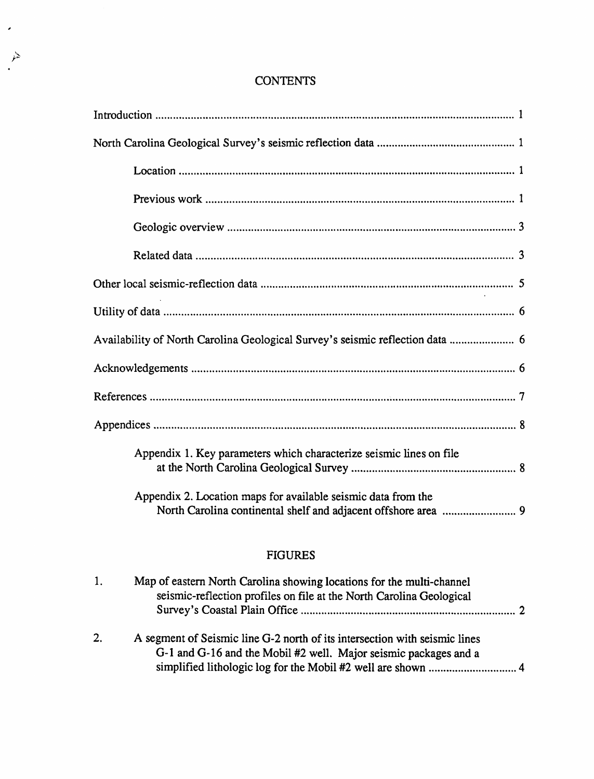| CONTENTS |
|----------|
|----------|

 $\hat{\boldsymbol{\theta}}$ 

 $\mathcal{P}$ 

| Availability of North Carolina Geological Survey's seismic reflection data  6 |  |
|-------------------------------------------------------------------------------|--|
|                                                                               |  |
|                                                                               |  |
|                                                                               |  |
| Appendix 1. Key parameters which characterize seismic lines on file           |  |
| Appendix 2. Location maps for available seismic data from the                 |  |
|                                                                               |  |

## FIGURES

| 1. | Map of eastern North Carolina showing locations for the multi-channel<br>seismic-reflection profiles on file at the North Carolina Geological  |  |  |  |
|----|------------------------------------------------------------------------------------------------------------------------------------------------|--|--|--|
| 2. | A segment of Seismic line G-2 north of its intersection with seismic lines<br>G-1 and G-16 and the Mobil #2 well. Major seismic packages and a |  |  |  |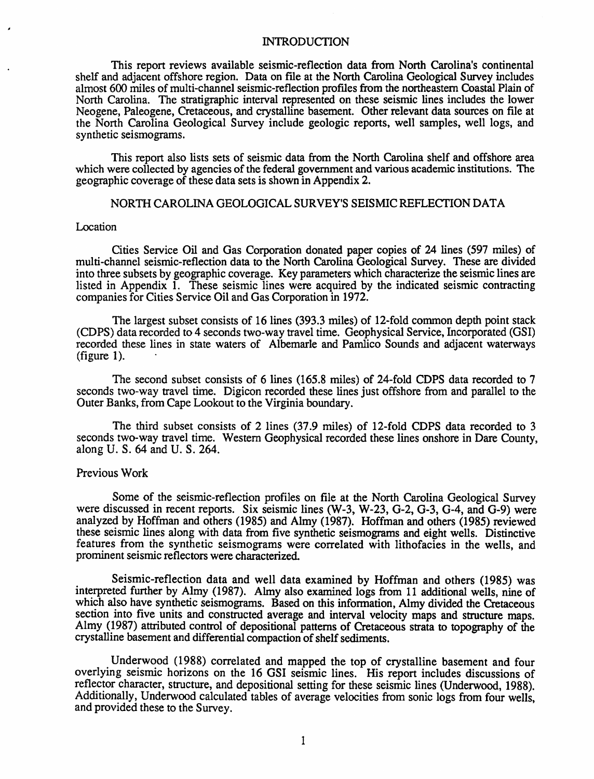#### INTRODUCTION

This report reviews available seismic-reflection data from North Carolina's continental shelf and adjacent offshore region. Data on file at the North Carolina Geological Survey includes almost 600 miles of multi-channel seismic-reflection proftIes from the northeastern Coastal Plain of North Carolina. The stratigraphic interval represented on these seismic lines includes the lower Neogene, Paleogene, Cretaceous, and crystalline basement. Other relevant data sources on file at the North Carolina Geological Survey include geologic reports, well samples, well logs, and synthetic seismograms.

This report also lists sets of seismic data from the North Carolina shelf and offshore area which were collected by agencies of the federal government and various academic institutions. The geographic coverage of these data sets is shown in Appendix 2.

#### NORTH CAROLINA GEOLOGICAL SURVEY'S SEISMIC REFLECTION DATA

#### Location

Cities Service Oil and Gas Corporation donated paper copies of 24 lines (597 miles) of multi-channel seismic-reflection data to the North Carolina Geological Survey. These are divided into three subsets by geographic coverage. Key parameters which characterize the seismic lines are listed in Appendix 1. These seismic lines were acquired by the indicated seismic contracting companies for Cities Service Oil and Gas Corporation in 1972.

The largest subset consists of 16 lines (393.3 miles) of 12-fold common depth point stack (CDPS) data recorded to 4 seconds two-way travel time. Geophysical Service, Incorporated (GSI) recorded these lines in state waters of Albemarle and Pamlico Sounds and adjacent waterways (figure 1).

The second subset consists of 6 lines (165.8 miles) of 24-fold CDPS data recorded to 7 seconds two-way travel time. Digicon recorded these lines just offshore from and parallel to the Outer Banks, from Cape Lookout to the Virginia boundary.

The third subset consists of 2 lines (37.9 miles) of 12-fold CDPS data recorded to 3 seconds two-way travel time. Western Geophysical recorded these lines onshore in Dare County, along U. S. 64 and U. S. 264.

#### Previous Work

Some of the seismic-reflection profiles on file at the North Carolina Geological Survey were discussed in recent reports. Six seismic lines (W-3, W-23, G-2, G-3, G-4, and G-9) were analyzed by Hoffman and others (1985) and Almy (1987). Hoffman and others (1985) reviewed these seismic lines along with data from five synthetic seismograms and eight wells. Distinctive features from the synthetic seismograms were correlated with lithofacies in the wells, and prominent seismic reflectors were characterized.

Seismic-reflection data and well data examined by Hoffman and others (1985) was interpreted further by Almy (1987). Almy also examined logs from 11 additional wells, nine of which also have synthetic seismograms. Based on this information, Almy divided the Cretaceous section into five units and constructed average and interval velocity maps and structure maps. Almy (1987) attributed control of depositional patterns of Cretaceous strata to topography of the crystalline basement and differential compaction of shelf sediments.

Underwood (1988) correlated and mapped the top of crystalline basement and four overlying seismic horizons on the 16 GSI seismic lines. His report includes discussions of reflector character, structure, and depositional setting for these seismic lines (Underwood, 1988). Additionally, Underwood calculated tables of average velocities from sonic logs from four wells, and provided these to the Survey.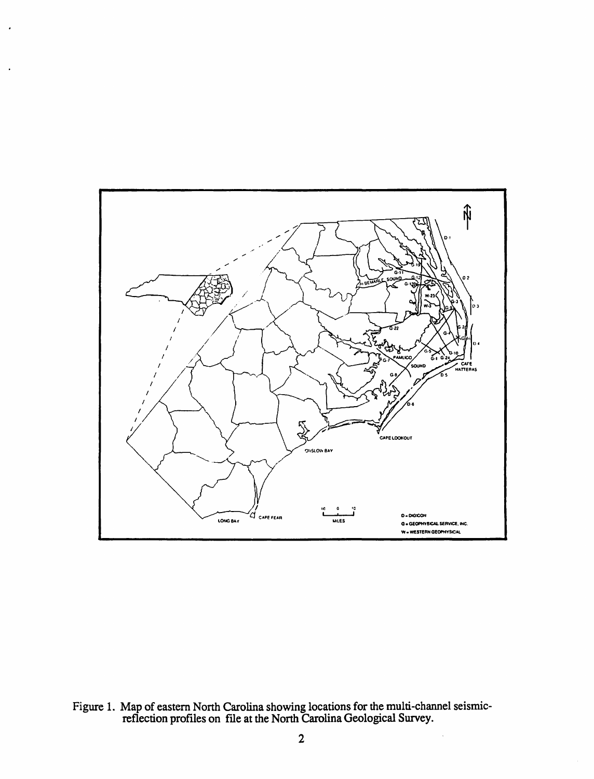

Figure 1. Map of eastern North Carolina showing locations for the multi-channel seismic-<br>reflection profiles on file at the North Carolina Geological Survey.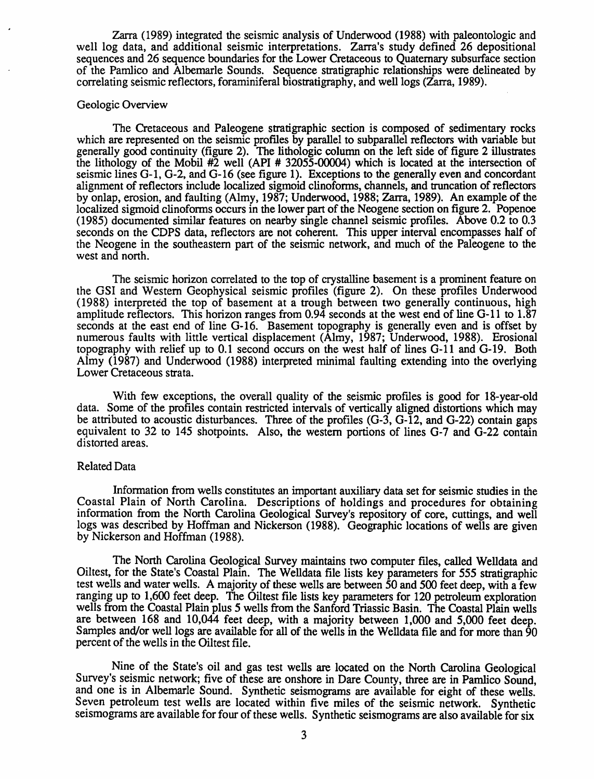Zarra (1989) integrated the seismic analysis of Underwood (1988) with paleontologic and well log data, and additional seismic interpretations. Zarra's study defined 26 depositional sequences and 26 sequence boundaries for the Lower Cretaceous to Quaternary subsurface section of the Pamlico and Albemarle Sounds. Sequence stratigraphic relationships were delineated by correlating seismic reflectors, foraminiferal biostratigraphy, and well logs (Zarra, 1989).

#### Geologic Overview

The Cretaceous and Paleogene stratigraphic section is composed of sedimentary rocks which are represented on the seismic profiles by parallel to subparallel reflectors with variable but generally good continuity (figure 2). The lithologic column on the left side of figure 2 illustrates the lithology of the Mobil #2 well (API # 32055-00004) which is located at the intersection of seismic lines 0-1, G-2, and 0-16 (see figure 1). Exceptions to the generally even and concordant alignment of reflectors include localized sigmoid clinoforms, channels, and truncation of reflectors by onlap, erosion, and faulting (Almy, 1987; Underwood, 1988; 2arra, 1989). An example of the localized sigmoid clinoforms occurs in the lower part of the Neogene section on figure 2. Popenoe (1985) documented similar features on nearby single channel seismic profiles. Above 0.2 to 0.3 seconds on the CDPS data, reflectors are not coherent. This upper interval encompasses half of the Neogene in the southeastern part· of the seismic network, and much of the Paleogene to the west and north.

The seismic horizon correlated to the top of crystalline basement is a prominent feature on the GSI and Western Geophysical seismic profiles (figure 2). On these profiles Underwood (1988) interpreted the top of basement at a trough between two generally continuous, high amplitude reflectors. This horizon ranges from 0.94 seconds at the west end of line G-l1 to 1.87 seconds at the east end of line G-16. Basement topography is generally even and is offset by numerous faults with little vertical displacement (Almy, 1987; Underwood, 1988). Erosional topography with relief up to 0.1 second occurs on the west half of lines 0-11 and G-19. Both Almy (1987) and Underwood (1988) interpreted minimal faulting extending into the overlying Lower Cretaceous strata.

With few exceptions, the overall quality of the seismic profiles is good for 18-year-old data. Some of the profiles contain restricted intervals of vertically aligned distortions which may be attributed to acoustic disturbances. Three of the profiles (G-3, G-12, and G-22) contain gaps equivalent to 32 to 145 shotpoints. Also, the western portions of lines G-7 and G-22 contain distorted areas.

#### Related Data

Information from wells constitutes an important auxiliary data set for seismic studies in the Coastal Plain of North Carolina. Descriptions of holdings and procedures for obtaining information from the North Carolina Geological Survey's repository of core, cuttings, and well logs was described by Hoffman and Nickerson (1988). Geographic locations of wells are given by Nickerson and Hoffman (1988).

The North Carolina Geological Survey maintains two computer flies, called Welldata and OiItest, for the State's Coastal Plain. The Welldata file lists key parameters for 555 stratigraphic test wells and water wells. A majority of these wells are between 50 and 500 feet deep, with a few ranging up to 1,600 feet deep. The Oiltest file lists key parameters for 120 petroleum exploration wells from the Coastal Plain plus 5 wells from the Sanford Triassic Basin. The Coastal Plain wells are between 168 and 10,044 feet deep, with a majority between 1,000 and 5,000 feet deep. Samples and/or well logs are available for all of the wells in the Welldata file and for more than 90 percent of the wells in the Oiltest file.

Nine of the State's oil and gas test wells are located on the North Carolina Geological Survey's seismic network; five of these are onshore in Dare County, three are in Pamlico Sound, and one is in Albemarle Sound. Synthetic seismograms are available for eight of these wells. Seven petroleum test wells are located within five miles of the seismic network. Synthetic seismograms are available for four of these wells. Synthetic seismograms are also available for six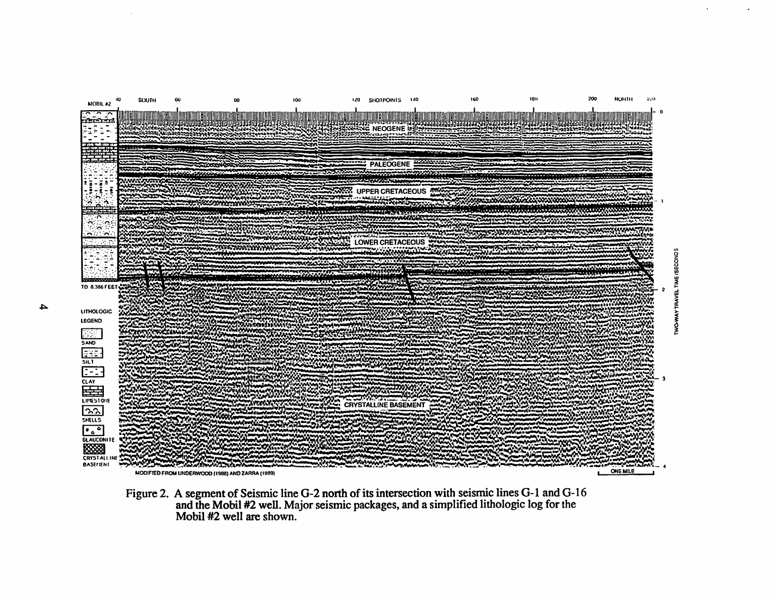

Figure 2. A segment of Seismic line G-2 north of its intersection with seismic lines G-1 and G-16 and the Mobil #2 well. Major seismic packages, and a simplified lithologic log for the Mobil #2 well are shown.

4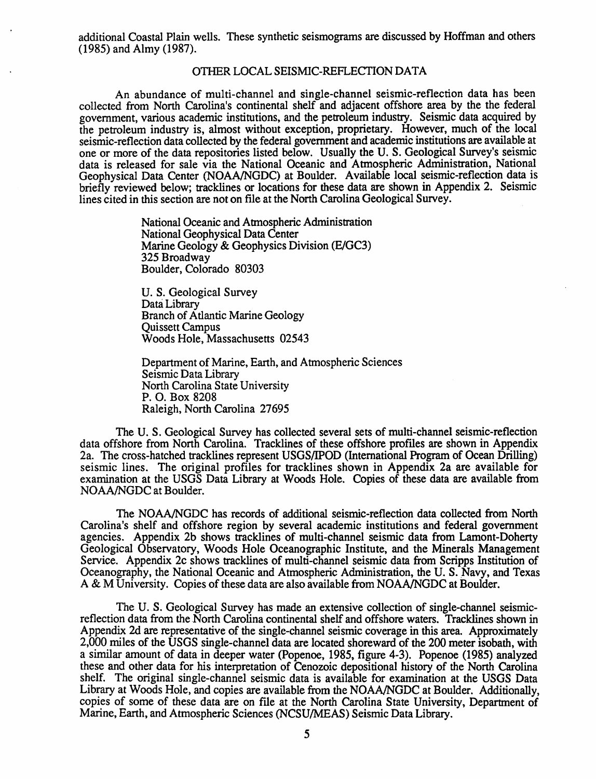additional Coastal Plain wells. These synthetic seismograms are discussed by Hoffman and others (1985) and Almy (1987).

#### OTHER LOCAL SEISMIC-REFLECTION DATA

An abundance of multi-channel and single-channel seismic-reflection data has been collected from North Carolina's continental shelf and adjacent offshore area by the the federal government, various academic institutions, and the petroleum industry. Seismic data acquired by the petroleum industry is, almost without exception, proprietary. However, much of the local seismic-reflection data collected by the federal government and academic institutions are available at one or more of the data repositories listed below. Usually the U. S. Geological Survey's seismic data is released for sale via the National Oceanic and Atmospheric Administration, National Geophysical Data Center (NOAA/NGDC) at Boulder. Available local seismic-reflection data is briefly reviewed below; tracklines or locations for these data are shown in Appendix 2. Seismic lines cited in this section are not on file at the North Carolina Geological Survey.

> National Oceanic and Attnospheric Administration National Geophysical Data Center Marine Geology & Geophysics Division (E/GC3) 325 Broadway Boulder, Colorado 80303

U. S. Geological Survey Data Library Branch of Atlantic Marine Geology Quissett Campus Woods Hole, Massachusetts 02543

Department of Marine, Earth, and Atmospheric Sciences Seismic Data Library North Carolina State University P. O. Box 8208 Raleigh, North Carolina 27695

The U. S. Geological Survey has collected several sets of multi-channel seismic-reflection data offshore from North Carolina. Tracklines of these offshore profiles are shown in Appendix 2a. The cross-hatched tracklines represent USGS/IPOD (International Program of Ocean Drilling) seismic lines. The original profiles for tracklines shown in Appendix 2a are available for examination at the USGS Data Library at Woods Hole. Copies of these data are available from NOAA/NGDC at Boulder.

The NOAA/NGDC has records of additional seismic-reflection data collected from North Carolina's shelf and offshore region by several academic institutions and federal government agencies. Appendix 2b shows tracklines of multi-channel seismic data from Lamont-Doherty Geological Observatory, Woods Hole Oceanographic Institute, and the Minerals Management Service. Appendix 2c shows tracklines of multi-channel seismic data from Scripps Institution of Oceanography, the National Oceanic and Atmospheric Administration, the U.S. Navy, and Texas A & M University. Copies of these data are also available from NOAA/NGDC at Boulder.

The U. S. Geological Survey has made an extensive collection of single-channel seismicreflection data from the North Carolina continental shelf and offshore waters. Tracklines shown in Appendix 2d are representative of the single-channel seismic coverage in this area. Approximately 2,000 miles of the USGS single-channel data are located shoreward of the 200 meter isobath, with a similar amount of data in deeper water (Popenoe, 1985, figure 4-3). Popenoe (1985) analyzed these and other data for his interpretation of Cenozoic depositional history of the North Carolina shelf. The original single-channel seismic data is available for examination at the USGS Data Library at Woods Hole, and copies are available from the NOAA/NGDC at Boulder. Additionally, copies of some of these data are on file at the North Carolina State University, Department of Marine, Earth, and Atmospheric Sciences (NCSU/MEAS) Seismic Data Library.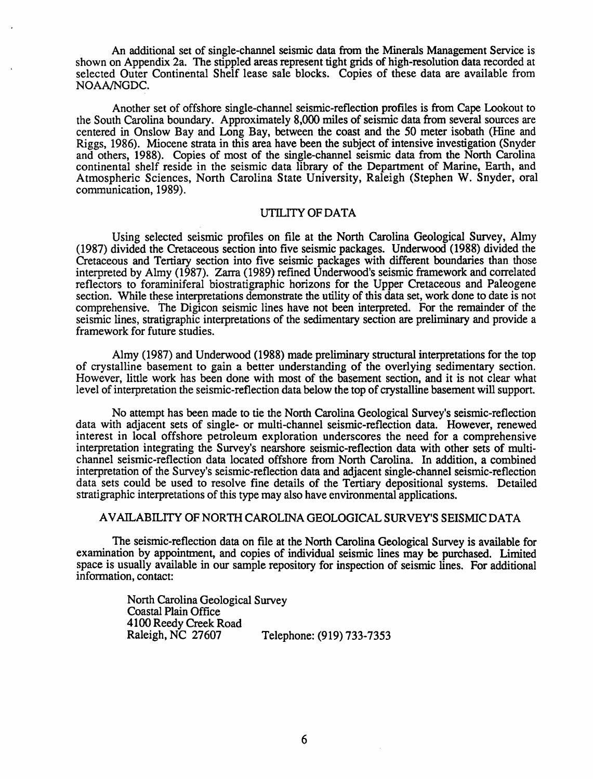An additional set of single-channel seismic data from the Minerals Management Service is shown on Appendix 2a. The stippled areas represent tight grids of high-resolution data recorded at selected Outer Continental Shelf lease sale blocks. Copies of these data are available from NOANNGDC.

Another set of offshore single-channel seismic-reflection profiles is from Cape Lookout to the South Carolina boundary. Approximately 8,000 miles of seismic data from several sources are centered in Onslow Bay and Long Bay, between the coast and the 50 meter isobath (Hine and Riggs, 1986). Miocene strata in this area have been the subject of intensive investigation (Snyder and others, 1988). Copies of most of the single-channel seismic data from the North Carolina continental shelf reside in the seismic data library of the Department of Marine, Earth, and Atmospheric Sciences, North Carolina State University, Raleigh (Stephen W. Snyder, oral communication, 1989).

#### UTILITY OF DATA

Using selected seismic profiles on file at the North Carolina Geological Survey, Alroy (1987) divided the Cretaceous section into five seismic packages. Underwood (1988) divided the Cretaceous and Tertiary section into five seismic packages with different boundaries than those interpreted by Almy (1987). Zarra (1989) refmed Underwood's seismic framework and correlated reflectors to foraminiferal biostratigraphic horizons for the Upper Cretaceous and Paleogene section. While these interpretations demonstrate the utility of this data set, work done to date is not comprehensive. The Digicon seismic lines have not been interpreted. For the remainder of the seismic lines, stratigraphic interpretations of the sedimentary section are preliminary and provide a framework for future studies.

Almy (1987) and Underwood (1988) made preliminary structural interpretations for the top of crystalline basement to gain a better understanding of the overlying sedimentary section. However, little work has been done with most of the basement section, and it is not clear what level of interpretation the seismic-reflection data below the top of crystalline basement will support.

No attempt has been made to tie the North Carolina Geological Survey's seismic-reflection data with adjacent sets of single- or multi-channel seismic-reflection data. However, renewed interest in local offshore petroleum exploration underscores the need for a comprehensive interpretation integrating the Survey's nearshore seismic-reflection data with other sets of multichannel seismic-reflection data located offshore from North Carolina. In addition, a combined interpretation of the Survey's seismic-reflection data and adjacent single-channel seismic-reflection data sets could be used to resolve fine details of the Tertiary depositional systems. Detailed stratigraphic interpretations of this type may also have environmental applications.

### AVAILABILITY OF NORTH CAROLINA GEOLOGICAL SURVEY'S SEISMIC DATA

The seismic-reflection data on file at the North Carolina Geological Survey is available for examination by appointment, and copies of individual seismic lines may be purchased. Limited space is usually available in our sample repository for inspection of seismic lines. For additional information, contact:

> North Carolina Geological Survey Coastal Plain Office 4100 Reedy Creek Road Telephone: (919) 733-7353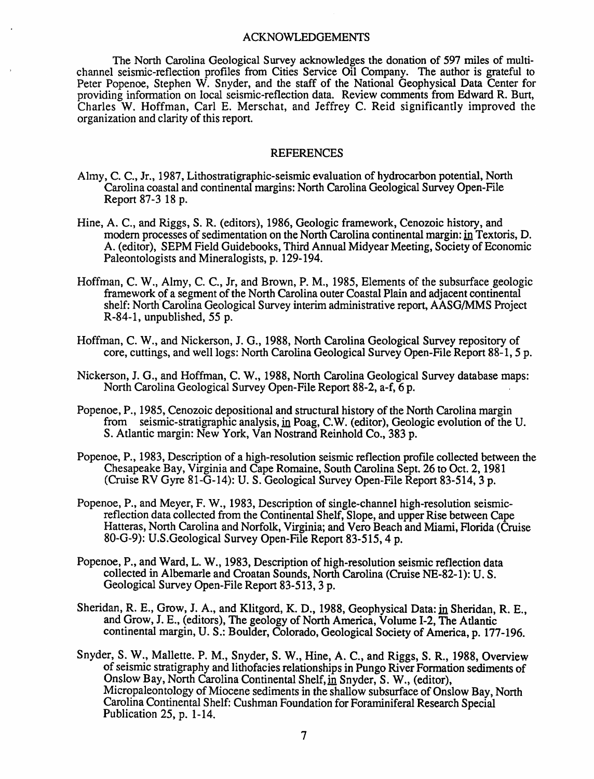#### ACKNOWLEDGEMENTS

The North Carolina Geological Survey acknowledges the donation of 597 miles of multichannel seismic-reflection profiles from Cities Service Oil Company. The author is grateful to Peter Popenoe, Stephen W. Snyder, and the staff of the National Geophysical Data Center for providing infonnation on local seismic-reflection data. Review comments from Edward R. Burt, Charles W. Hoffman, Carl E. Merschat, and Jeffrey C. Reid significantly improved the organization and clarity of this report.

#### **REFERENCES**

- Almy, C. C., Jr., 1987, Lithostratigraphic-seismic evaluation of hydrocarbon potential, North Carolina coastal and continental margins: North Carolina Geological Survey Open-File Report 87-3 18 p.
- Hine, A. C., and Riggs, S. R. (editors), 1986, Geologic framework, Cenozoic history, and modern processes of sedimentation on the North Carolina continental margin: in Textoris, D. A. (editor), SEPM Field Guidebooks, Third Annual Midyear Meeting, Society of Economic Paleontologists and Mineralogists, p. 129-194.
- Hoffman, C. W., Almy, C. C., *Ir,* and Brown, P. M., 1985, Elements of the subsurface geologic framework of a segment of the North Carolina outer Coastal Plain and adjacent continental shelf: North Carolina Geological Survey interim administrative report, AASG/MMS Project R-84-1, unpublished, 55 p.
- Hoffman, C. W., and Nickerson, I. G., 1988, North Carolina Geological Survey repository of core, cuttings, and well logs: North Carolina Geological Survey Open-File Report 88-1, 5 p.
- Nickerson, J. G., and Hoffman, C. W., 1988, North Carolina Geological Survey database maps: North Carolina Geological Survey Open-File Report 88-2, a-f, 6 p.
- Popenoe, P., 1985, Cenozoic depositional and structural history of the North Carolina margin from seismic-stratigraphic analysis, in Poag, C.W. (editor), Geologic evolution of the U. S. Atlantic margin: New York, Van Nostrand Reinhold Co., 383 p.
- Popenoe, P., 1983, Description of a high-resolution seismic reflection profile collected between the Chesapeake Bay, Virginia and Cape Romaine, South Carolina Sept. 26 to Oct. 2, 1981 (Cruise RV Gyre 81-G-14): U. S. Geological Survey Open-File Report 83-514, 3 p.
- Popenoe, P., and Meyer, F. W., 1983, Description of single-channel high-resolution seismicreflection data collected from the Continental Shelf, Slope, and upper Rise between Cape Hatteras, North Carolina and Norfolk, Virginia; and Vero Beach and Miami, Florida (Cruise 80-G-9): U.S.Geological Survey Open-File Report 83-515, 4 p.
- Popenoe, P., and Ward, L. W., 1983, Description of high-resolution seismic reflection data collected in Albemarle and Croatan Sounds, North Carolina (Cruise NE-82-1): U. S. Geological Survey Open-File Report 83-513, 3 p.
- Sheridan, R. E., Grow, J. A., and Klitgord, K. D., 1988, Geophysical Data: in Sheridan, R. E., and Grow, 1. E., (editors), The geology of North America, Volume 1-2, The Atlantic continental margin, U. S.: Boulder, Colorado, Geological Society of America, p. 177-196.
- Snyder, S. W., Mallette. P. M., Snyder, S. W., Hine, A. C., and Riggs, S. R., 1988, Overview of seismic stratigraphy and lithofacies relationships in Pungo River Formation sediments of Onslow Bay, North Carolina Continental Shelf, in Snyder, S. W., (editor), Micropaleontology of Miocene sediments in the shallow subsurface of Onslow Bay, North Carolina Continental Shelf: Cushman Foundation for Foraminiferal Research Special Publication 25, p. 1-14.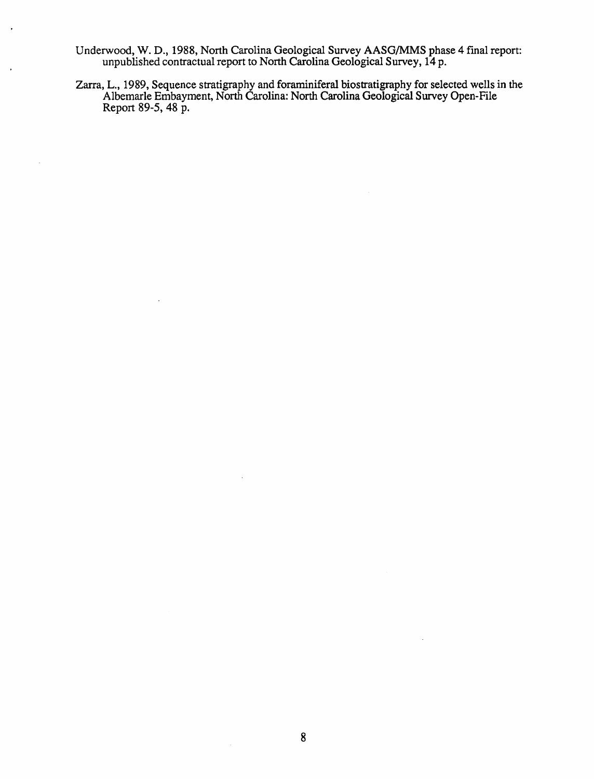Underwood, W. D., 1988, North Carolina Geological Survey AASG/MMS phase 4 fmal report: unpublished contractual report to North Carolina Geological Survey, 14 p.

 $\cdot$ 

 $\bar{z}$ 

Zarra, L., 1989, Sequence stratigraphy and foraminiferal biostratigraphy for selected wells in the Albemarle Embayment, North Carolina: North Carolina Geological Survey Open-File Report 89-5, 48 p.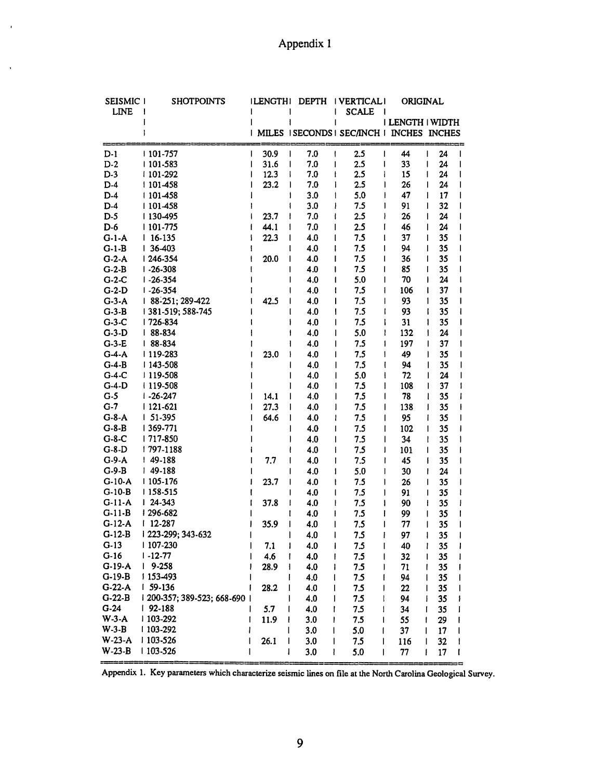$\bar{\pmb{\cdot}}$ 

 $\bar{\mathbf{v}}$ 

| SEISMIC I<br><b>LINE</b> | <b>SHOTPOINTS</b>         | <b>ILENGTHI</b> | <b>DEPTH</b>  | <b>I VERTICALI</b><br><b>SCALE</b><br>$\mathbf{I}$ | ORIGINAL            |                         |
|--------------------------|---------------------------|-----------------|---------------|----------------------------------------------------|---------------------|-------------------------|
|                          |                           |                 | ı             | ı                                                  | I LENGTH I WIDTH    |                         |
|                          |                           |                 |               | MILES   SECONDS   SEC/INCH   INCHES INCHES         |                     |                         |
| $D-1$                    | 101-757                   | 30.9<br>I       | 7.0<br>I<br>t | 2.5<br>I                                           | 44                  | 24<br>I<br>I            |
| $D-2$                    | 101-583                   | 31.6            | 7.0<br>I      | 2.5<br>ŧ<br>I                                      | 33                  | 24<br>ı<br>ı            |
| $D-3$                    | 101-292                   | 12.3            | 7.0<br>ţ      | 2.5<br>ł<br>ł                                      | 15                  | 24<br>I                 |
| $D-4$                    | 101-458                   | 23.2            | 7.0<br>I      | 2.5<br>ı                                           | 26<br>$\mathsf{l}$  | 24<br>I                 |
| $D-4$                    | 101-458                   |                 | 3.0           | 5.0                                                | 47<br>I             | 17<br>L                 |
| $D-4$                    | 101-458                   |                 | 3.0<br>i      | 7.5<br>I                                           | 91<br>1             | 32<br>I                 |
| $D-5$                    | 130-495                   | 23.7            | 7.0<br>ł      | 2.5<br>ı<br>ı                                      | 26                  | I<br>24                 |
| $D-6$                    | 101-775                   | 44.1            | 7.0<br>I      | 2.5<br>I<br>I                                      | 46                  | 24<br>I                 |
| $G-1-A$                  | $116-135$                 | 22.3            | 4.0<br>I      | 7.5<br>l<br>1                                      | 37                  | 35<br>I                 |
| $G-1-B$                  | $136-403$                 |                 | 4.0           | 7.5<br>ı                                           | 94                  | 35<br>I                 |
| $G-2-A$                  | 246-354                   | 20.0            | 4.0           | 7.5<br>I                                           | 36                  | 35<br>ł                 |
| $G-2-B$                  | $1 - 26 - 308$            |                 | 4.0           | 7.5<br>I                                           | 85                  | 35<br>I                 |
| $G-2-C$                  | $1 - 26 - 354$            |                 | 4.0           | 5.0<br>I<br>1                                      | 70                  | 24<br>ı                 |
| $G-2-D$                  | $1 - 26 - 354$            |                 | 4.0           | 7.5<br>ı                                           | 106<br>1            | 37<br>t                 |
| $G-3-A$                  | 88-251; 289-422           | 42.5            | 4.0           | 7.5                                                | 93<br>$\mathbf{I}$  | 35<br>I                 |
| $G-3-B$                  | 1381-519; 588-745         |                 | 4.0           | 7.5<br>ı                                           | 93<br>$\mathbf{I}$  | 35<br>I                 |
| $G-3-C$                  | 726-834                   |                 | 4.0           | 7.5<br>I                                           | 31<br>I             | 35<br>ł                 |
| $G-3-D$                  | $188 - 834$               |                 | 4.0           | 5.0<br>I                                           | ł<br>132            | 24<br>$\mathbf{I}$<br>ı |
| $G-3-E$                  | $188 - 834$               |                 | 4.0           | 7.5<br>I                                           | 197<br>1            | 37<br>L                 |
| $G-4-A$                  | 119-283                   | 23.0            | 4.0           | 7.5<br>ı                                           | 49<br>$\mathbf{I}$  | 35<br>L                 |
| $G-4-B$                  | 143-508                   |                 | 4.0           | 7.5<br>I                                           | I<br>94             | 35<br>I                 |
| $G-4-C$                  | 119-508                   |                 | 4.0           | 5.0                                                | 72<br>1             | 24<br>I                 |
| $G-4-D$                  | 119-508                   |                 | 4.0           | 7.5<br>ı                                           | $\mathsf{l}$<br>108 | 37<br>ı                 |
| $G-5$                    | $1 - 26 - 247$            | 14.1            | 4.0           | 7.5<br>I                                           | 78<br>$\mathsf{l}$  | 35<br>ł                 |
| $G-7$                    | $1121 - 621$              | 27.3            | 4.0           | 7.5                                                | 138<br>$\mathsf{l}$ | 35<br>1                 |
| $G-8-A$                  | $151-395$                 | 64.6            |               | ı                                                  | 95                  | I                       |
| $G-8-B$                  | 369-771                   |                 | 4.0<br>I      | 7.5                                                | $\mathsf{l}$        | 35                      |
| $G-8-C$                  | 717-850                   |                 | 4.0           | 7.5<br>ı                                           | 102<br>$\mathsf{l}$ | 35<br>ı                 |
|                          |                           |                 | 4.0           | 7.5                                                | 34<br>$\mathsf{l}$  | 35<br>ł                 |
| $G-8-D$                  | 1797-1188                 |                 | 4.0           | 7.5                                                | 101<br>J            | 35<br>l                 |
| $G-9-A$                  | $149-188$                 | 7.7             | 4.0           | 7.5                                                | 45<br>ı             | 35<br>ı                 |
| $G-9-B$                  | $149-188$                 |                 | 4.0           | 5.0<br>1                                           | 30<br>I             | 24<br>I                 |
| $G-10-A$                 | 105-176                   | 23.7            | 4.0           | 7.5<br>ı<br>ł                                      | 26                  | 35<br>I                 |
| $G-10-B$                 | 158-515                   |                 | 4.0           | 7.5<br>I<br>I                                      | 91                  | 35<br>I                 |
| $G-11-A$                 | $124 - 343$               | 37.8            | 4.0<br>ŧ      | 7.5<br>I<br>ı                                      | 90                  | 35<br>ł                 |
| $G-11-B$                 | 296-682                   |                 | 4.0           | 7.5<br>ł<br>ı                                      | 99                  | 35<br>I                 |
| $G-12-A$                 | $12-287$                  | 35.9            | 4.0<br>ı      | 7.5<br>I<br>ı                                      | 77                  | 35<br>ı<br>I            |
| $G-12-B$                 | 1223-299; 343-632         |                 | 4.0<br>ł      | 7.5<br>I                                           | 97                  | ł<br>35                 |
| $G-13$                   | 107-230                   | 7.1             | 4.0           | 7.5                                                | 40                  | 35<br>ı                 |
| $G-16$                   | $1 - 12 - 77$             | 4.6             | 4.0           | 7.5                                                | 32                  | 35<br>ı                 |
| G-19-A                   | 9-258                     | 28.9            | 4.0<br>ł      | 7.5                                                | 71                  | 35<br>f                 |
| $G-19-B$                 | 1 153-493                 |                 | 4.0           | 7.5                                                | 94                  | $\mathsf{l}$<br>35      |
| $G-22-A$                 | $159-136$                 | 28.2            | 4.0           | 7.5                                                | 22                  | $\mathsf{l}$<br>35      |
| $G-22-B$                 | 200-357; 389-523; 668-690 |                 | 4.0           | 7.5                                                | 94                  | 35<br>I                 |
| $G-24$                   | $192 - 188$               | 5.7             | 4.0           | 7.5                                                | 34                  | 35<br>ſ                 |
| $W-3-A$                  | $1103 - 292$              | 11.9<br>ł       | 3.0           | 7.5                                                | 55                  | 29<br>ł                 |
| $W-3-B$                  | 103-292                   |                 | 3.0           | 5.0                                                | 37                  | I<br>17                 |
| $W-23-A$                 | 103-526                   | 26.1<br>I       | 3.0           | 7.5<br>I                                           | 116                 | 32<br>I                 |
| $W-23-B$                 | 103-526                   | I               | 3.0<br>l      | 5.0<br>I                                           | 77                  | I<br>17<br>I            |

Appendix 1. Key parameters which characterize seismic lines on file at the North Carolina Geological Survey.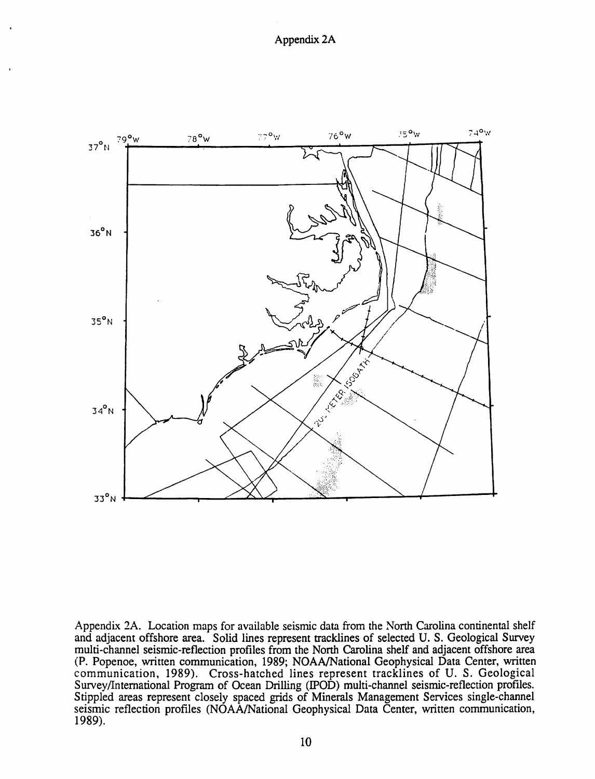

Appendix 2A. Location maps for available seismic data from the North Carolina continental shelf and adjacent offshore area. Solid lines represent tracklines of selected U. S. Geological Survey multi-channel seismic-reflection profiles from the Nonh Carolina shelf and adjacent offshore area (P. Popenoe, written communication, 1989; NOAA/National Geophysical Data Center, written communication, 1989). Cross-hatched lines represent tracklines of U. S. Geological Survey/International Program of Ocean Drilling (IPOD) multi-channel seismic-reflection profiles. Stippled areas represent closely spaced grids of Minerals Management Services single-channel seismic reflection profiles (NOAA/National Geophysical Data Center, written communication, 1989).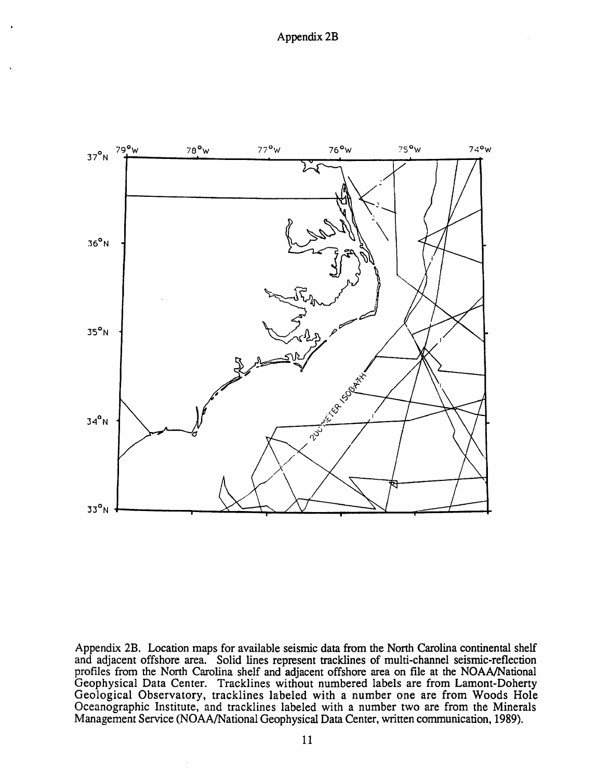

Appendix 2B. Location maps for available seismic data from the North Carolina continental shelf and adjacent offshore area. Solid lines represent tracklines of multi-channel seismic-reflection profiles from the North Carolina shelf and adjacent offshore area on file at the NOAA/National Geophysical Data Center. Tracklines without numbered labels are from Lamont-Doherty Geological Observatory, tracklines labeled with a number one are from Woods Hole Oceanographic Institute, and tracklines labeled with a number two are from the Minerals Management Service (NOAA/National Geophysical Data Center, written communication, 1989).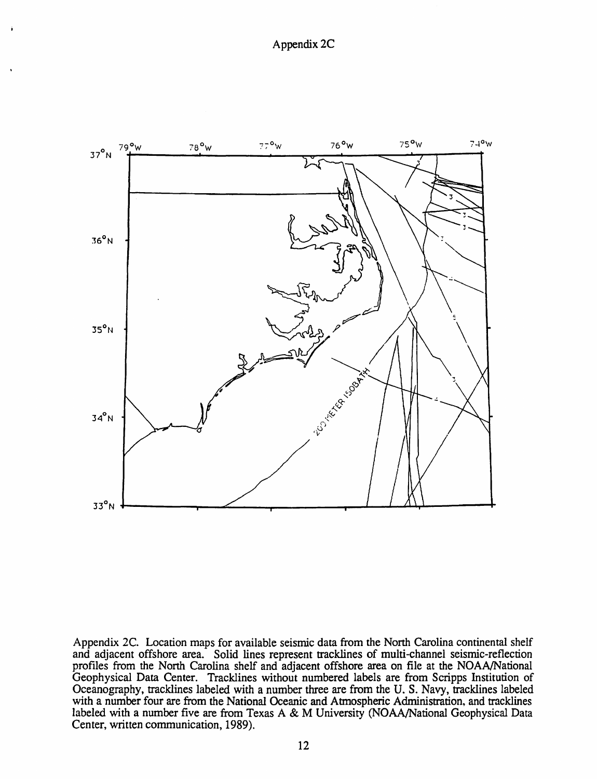

Appendix 2C. Location maps for available seismic data from the North Carolina continental shelf and adjacent offshore area. Solid lines represent tracklines of multi-channel seismic-reflection profiles from the North Carolina shelf and adjacent offshore area on file at the NOAA/National Geophysical Data Center. Tracklines without numbered labels are from Scripps Institution of Oceanography, tracklines labeled with a number three are from the U. S. Navy, tracklines labeled with a number four are from the National Oceanic and Atmospheric Administration, and tracklines labeled with a number five are from Texas A & M University (NOAA/National Geophysical Data Center, written communication, 1989).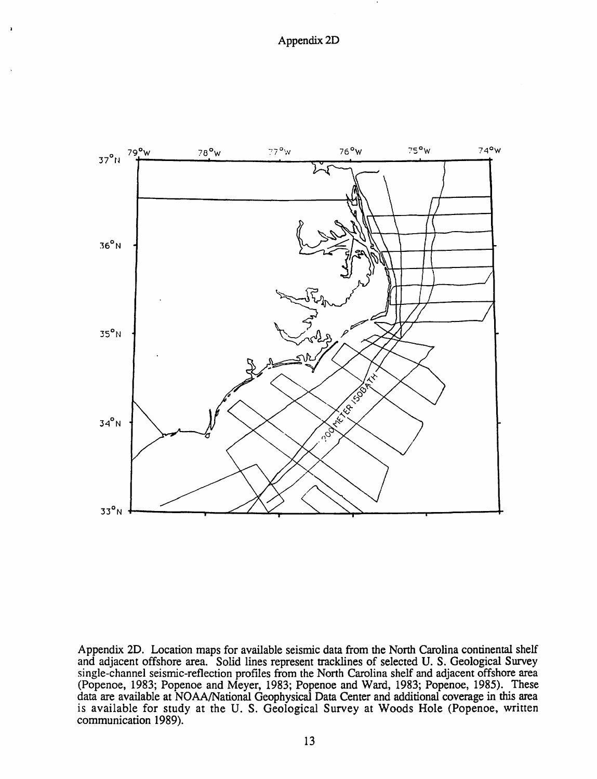þ



Appendix 2D. Location maps for available seismic data from the North Carolina continental shelf and adjacent offshore area. Solid lines represent tracklines of selected U. S. Geological Survey single-channel seismic-reflection profiles from the North Carolina shelf and adjacent offshore area (Popenoe, 1983; Popenoe and Meyer, 1983; Popenoe and Ward, 1983; Popenoe, 1985). These data are available at NOAAlNational Geophysical Data Center and additional coverage in this area is available for study at the U. S. Geological Survey at Woods Hole (Popenoe, written communication 1989).